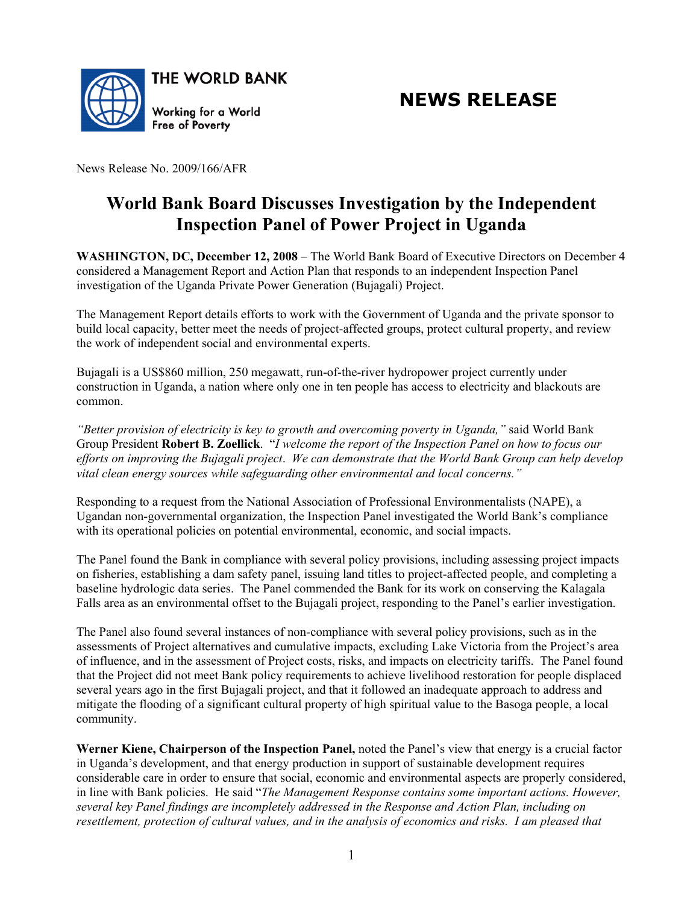

## **NEWS RELEASE**

News Release No. 2009/166/AFR

## **World Bank Board Discusses Investigation by the Independent Inspection Panel of Power Project in Uganda**

**WASHINGTON, DC, December 12, 2008** – The World Bank Board of Executive Directors on December 4 considered a Management Report and Action Plan that responds to an independent Inspection Panel investigation of the Uganda Private Power Generation (Bujagali) Project.

The Management Report details efforts to work with the Government of Uganda and the private sponsor to build local capacity, better meet the needs of project-affected groups, protect cultural property, and review the work of independent social and environmental experts.

Bujagali is a US\$860 million, 250 megawatt, run-of-the-river hydropower project currently under construction in Uganda, a nation where only one in ten people has access to electricity and blackouts are common.

*"Better provision of electricity is key to growth and overcoming poverty in Uganda,"* said World Bank Group President **Robert B. Zoellick**. "*I welcome the report of the Inspection Panel on how to focus our efforts on improving the Bujagali project*. *We can demonstrate that the World Bank Group can help develop vital clean energy sources while safeguarding other environmental and local concerns."* 

Responding to a request from the National Association of Professional Environmentalists (NAPE), a Ugandan non-governmental organization, the Inspection Panel investigated the World Bank's compliance with its operational policies on potential environmental, economic, and social impacts.

The Panel found the Bank in compliance with several policy provisions, including assessing project impacts on fisheries, establishing a dam safety panel, issuing land titles to project-affected people, and completing a baseline hydrologic data series. The Panel commended the Bank for its work on conserving the Kalagala Falls area as an environmental offset to the Bujagali project, responding to the Panel's earlier investigation.

The Panel also found several instances of non-compliance with several policy provisions, such as in the assessments of Project alternatives and cumulative impacts, excluding Lake Victoria from the Project's area of influence, and in the assessment of Project costs, risks, and impacts on electricity tariffs. The Panel found that the Project did not meet Bank policy requirements to achieve livelihood restoration for people displaced several years ago in the first Bujagali project, and that it followed an inadequate approach to address and mitigate the flooding of a significant cultural property of high spiritual value to the Basoga people, a local community.

**Werner Kiene, Chairperson of the Inspection Panel,** noted the Panel's view that energy is a crucial factor in Uganda's development, and that energy production in support of sustainable development requires considerable care in order to ensure that social, economic and environmental aspects are properly considered, in line with Bank policies. He said "*The Management Response contains some important actions. However, several key Panel findings are incompletely addressed in the Response and Action Plan, including on resettlement, protection of cultural values, and in the analysis of economics and risks. I am pleased that*